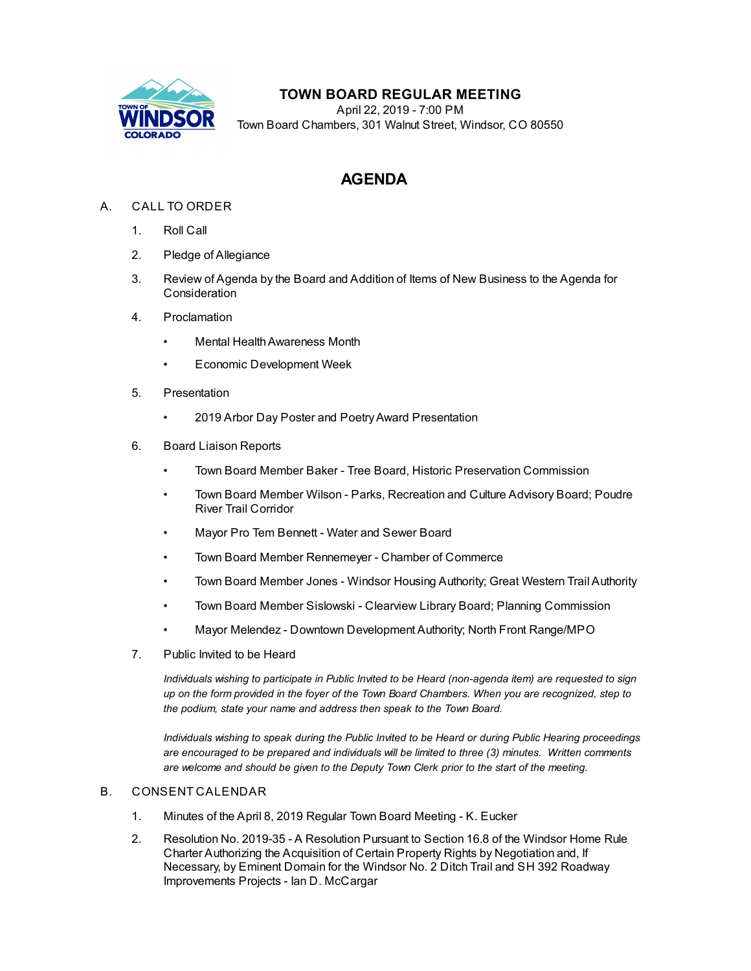

## **TOWN BOARD REGULAR MEETING**

April 22, 2019 - 7:00 PM Town Board Chambers, 301 Walnut Street, Windsor, CO 80550

# **AGENDA**

## A. CALL TO ORDER

- 1. Roll Call
- 2. Pledge of Allegiance
- 3. Review of Agenda by the Board and Addition of Items of New Business to the Agenda for Consideration
- 4. Proclamation
	- **Mental Health Awareness Month**
	- Economic [Development](file:///C:/Windows/TEMP/CoverSheet.aspx?ItemID=330&MeetingID=44) Week
- 5. Presentation
	- 2019 Arbor Day Poster and [PoetryAward](file:///C:/Windows/TEMP/CoverSheet.aspx?ItemID=297&MeetingID=44) Presentation
- 6. Board Liaison Reports
	- Town Board Member Baker Tree Board, Historic Preservation Commission
	- Town Board Member Wilson Parks, Recreation and Culture Advisory Board; Poudre River Trail Corridor
	- Mayor Pro Tem Bennett Water and Sewer Board
	- Town Board Member Rennemeyer Chamber of Commerce
	- Town Board Member Jones Windsor Housing Authority; Great Western Trail Authority
	- Town Board Member Sislowski Clearview Library Board; Planning Commission
	- Mayor Melendez Downtown Development Authority; North Front Range/MPO
- 7. Public Invited to be Heard

*Individuals wishing to participate in Public Invited to be Heard (non-agenda item) are requested to sign* up on the form provided in the foyer of the Town Board Chambers. When you are recognized, step to *the podium, state your name and address then speak to the Town Board.*

*Individuals wishing to speak during the Public Invited to be Heard or during Public Hearing proceedings are encouraged to be prepared and individuals will be limited to three (3) minutes. Written comments are welcome and should be given to the Deputy Town Clerk prior to the start of the meeting.*

### B. CONSENT CALENDAR

- 1. Minutes of the April 8, 2019 Regular Town Board [Meeting](file:///C:/Windows/TEMP/CoverSheet.aspx?ItemID=336&MeetingID=44) K. Eucker
- 2. Resolution No. 2019-35 A Resolution Pursuant to Section 16.8 of the Windsor Home Rule Charter Authorizing the Acquisition of Certain Property Rights by Negotiation and, If Necessary, by Eminent Domain for the Windsor No. 2 Ditch Trail and SH 392 Roadway [Improvements](file:///C:/Windows/TEMP/CoverSheet.aspx?ItemID=331&MeetingID=44) Projects - Ian D. McCargar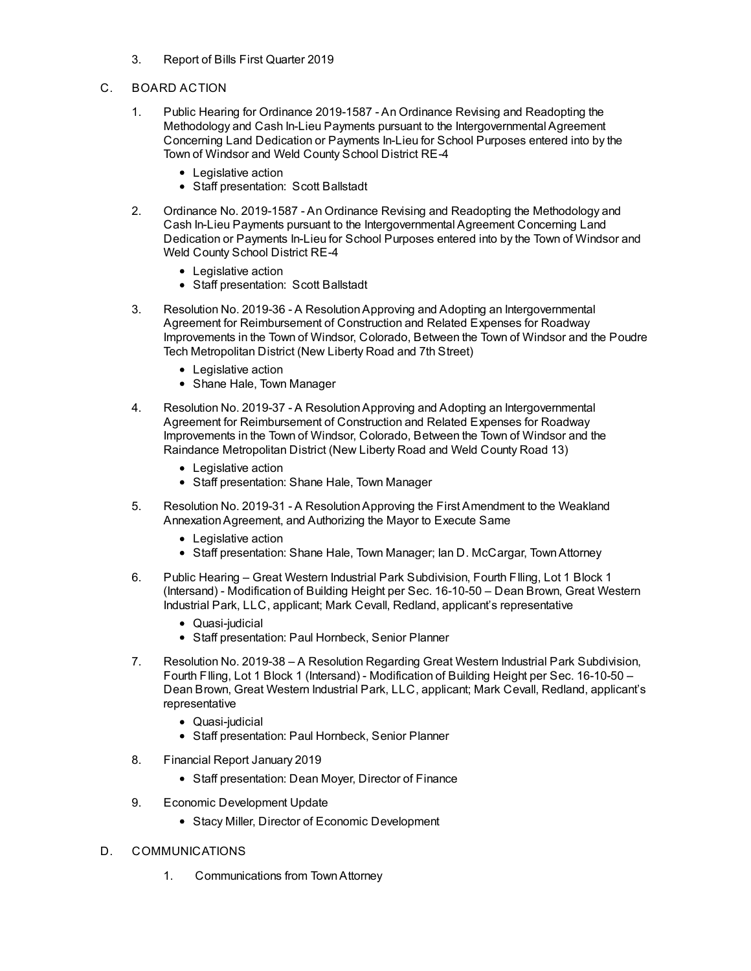- 3. Report of Bills First Quarter 2019
- C. BOARD ACTION
	- 1. Public Hearing for Ordinance 2019-1587 An Ordinance Revising and Readopting the Methodology and Cash In-Lieu Payments pursuant to the [Intergovernmental](file:///C:/Windows/TEMP/CoverSheet.aspx?ItemID=302&MeetingID=44) Agreement Concerning Land Dedication or Payments In-Lieu for School Purposes entered into by the Town of Windsor and Weld County School District RE-4
		- Legislative action
		- Staff presentation: Scott Ballstadt
	- 2. Ordinance No. 2019-1587 An Ordinance Revising and Readopting the Methodology and Cash In-Lieu Payments pursuant to the [Intergovernmental](file:///C:/Windows/TEMP/CoverSheet.aspx?ItemID=306&MeetingID=44) Agreement Concerning Land Dedication or Payments In-Lieu for School Purposes entered into by the Town of Windsor and Weld County School District RE-4
		- Legislative action
		- Staff presentation: Scott Ballstadt
	- 3. Resolution No. 2019-36 A [ResolutionApproving](file:///C:/Windows/TEMP/CoverSheet.aspx?ItemID=334&MeetingID=44) and Adopting an Intergovernmental Agreement for Reimbursement of Construction and Related Expenses for Roadway Improvements in the Town of Windsor, Colorado, Between the Town of Windsor and the Poudre Tech Metropolitan District (New Liberty Road and 7th Street)
		- Legislative action
		- Shane Hale, Town Manager
	- 4. Resolution No. 2019-37 A [ResolutionApproving](file:///C:/Windows/TEMP/CoverSheet.aspx?ItemID=335&MeetingID=44) and Adopting an Intergovernmental Agreement for Reimbursement of Construction and Related Expenses for Roadway Improvements in the Town of Windsor, Colorado, Between the Town of Windsor and the Raindance Metropolitan District (New Liberty Road and Weld County Road 13)
		- Legislative action
		- Staff presentation: Shane Hale, Town Manager
	- 5. Resolution No. 2019-31 A [ResolutionApproving](file:///C:/Windows/TEMP/CoverSheet.aspx?ItemID=340&MeetingID=44) the First Amendment to the Weakland AnnexationAgreement, and Authorizing the Mayor to Execute Same
		- Legislative action
		- Staff presentation: Shane Hale, Town Manager; Ian D. McCargar, Town Attorney
	- 6. Public Hearing Great Western Industrial Park Subdivision, Fourth FIling, Lot 1 Block 1 (Intersand) - [Modification](file:///C:/Windows/TEMP/CoverSheet.aspx?ItemID=343&MeetingID=44) of Building Height per Sec. 16-10-50 – Dean Brown, Great Western Industrial Park, LLC, applicant; Mark Cevall, Redland, applicant's representative
		- Quasi-judicial
		- Staff presentation: Paul Hornbeck, Senior Planner
	- 7. Resolution No. 2019-38 A Resolution Regarding Great Western Industrial Park Subdivision, Fourth FIling, Lot 1 Block 1 (Intersand) - Modification of Building Height per Sec. 16-10-50 – Dean Brown, Great Western Industrial Park, LLC, applicant; Mark Cevall, Redland, applicant's [representative](file:///C:/Windows/TEMP/CoverSheet.aspx?ItemID=344&MeetingID=44)
		- Quasi-judicial
		- Staff presentation: Paul Hornbeck, Senior Planner
	- 8. [Financial](file:///C:/Windows/TEMP/CoverSheet.aspx?ItemID=333&MeetingID=44) Report January 2019
		- Staff presentation: Dean Moyer, Director of Finance
	- 9. Economic [Development](file:///C:/Windows/TEMP/CoverSheet.aspx?ItemID=329&MeetingID=44) Update
		- Stacy Miller, Director of Economic Development

#### D. COMMUNICATIONS

1. Communications from TownAttorney